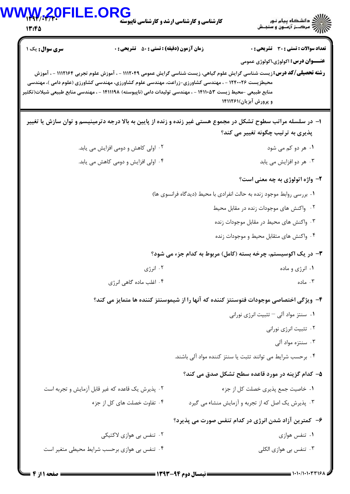| 13:45                                            | <b>E.ORG</b><br><b>کارشناسی و کارشناسی ارشد و کارشناسی ناپیوسته</b>                                                                                                                                                 | ح الله دانشگاه پیام نور<br>حساس مرکب: آزمون و سنجش                                                                                                      |
|--------------------------------------------------|---------------------------------------------------------------------------------------------------------------------------------------------------------------------------------------------------------------------|---------------------------------------------------------------------------------------------------------------------------------------------------------|
| سری سوال: یک ۱                                   | <b>زمان آزمون (دقیقه) : تستی : 50 ٪ تشریحی : 0</b>                                                                                                                                                                  | <b>تعداد سوالات : تستی : 30 ٪ تشریحی : 0</b>                                                                                                            |
|                                                  |                                                                                                                                                                                                                     | <b>عنـــوان درس:</b> اکولوژی،اکولوژی عمومی                                                                                                              |
|                                                  | محیطزیست ۱۲۴۰۰۲۶ - ، مهندسی کشاورزی-زراعت، مهندسی علوم کشاورزی، مهندسی کشاورزی (علوم دامی )، مهندسی<br>منابع طبیعی –محیط زیست ۱۴۱۱۰۵۳ – ، مهندسی تولیدات دامی (ناپیوسته) ۱۴۱۱۱۹۸ – ، مهندسی منابع طبیعی شیلات(تکثیر | <b>رشته تحصیلی/کد درس:</b> زیست شناسی گرایش علوم گیاهی، زیست شناسی گرایش عمومی ۱۱۱۲۰۴۹ - ، آموزش علوم تجربی ۱۱۱۲۱۶۴ - ، آموزش<br>و پرورش آبزیان)۱۴۱۱۲۶۱ |
|                                                  |                                                                                                                                                                                                                     | ۱– در سلسله مراتب سطوح تشکل در مجموع هستی غیر زنده و زنده از پایین به بالا درجه دترمینیسم و توان سازش یا تغییر                                          |
|                                                  |                                                                                                                                                                                                                     | پذیری به ترتیب چگونه تغییر می کند؟                                                                                                                      |
|                                                  | ۰۲ اولی کاهش و دومی افزایش می یابد.                                                                                                                                                                                 | ۰۱ هر دو کم می شود                                                                                                                                      |
|                                                  | ۰۴ اولی افزایش و دومی کاهش می یابد.                                                                                                                                                                                 | ۰۳ هر دو افزايش مي يابد                                                                                                                                 |
|                                                  |                                                                                                                                                                                                                     | ۲- واژه اتولوژی به چه معنی است؟                                                                                                                         |
|                                                  |                                                                                                                                                                                                                     | ٠. بررسي روابط موجود زنده به حالت انفرادي با محيط (ديدگاه فرانسوي ها)                                                                                   |
|                                                  |                                                                                                                                                                                                                     | ۰۲ واکنش های موجودات زنده در مقابل محیط                                                                                                                 |
|                                                  |                                                                                                                                                                                                                     | ۰۳ واکنش های محیط در مقابل موجودات زنده                                                                                                                 |
|                                                  |                                                                                                                                                                                                                     | ۰۴ واکنش های متقابل محیط و موجودات زنده                                                                                                                 |
|                                                  |                                                                                                                                                                                                                     | ۳- در یک اکوسیستم، چرخه بسته (کامل) مربوط به کدام جزء می شود؟                                                                                           |
|                                                  | ۰۲ انرژی                                                                                                                                                                                                            | ۰۱ انرژی و ماده                                                                                                                                         |
|                                                  | ۰۴ اغلب ماده گاهی انرژی                                                                                                                                                                                             | ۰۳ ماده                                                                                                                                                 |
|                                                  |                                                                                                                                                                                                                     | ۴– ویژگی اختصاصی موجودات فتوسنتز کننده که آنها را از شیموسنتز کننده ها متمایز می کند؟                                                                   |
|                                                  |                                                                                                                                                                                                                     | ۰۱ سنتز مواد آلى – تثبيت انرژى نورانى                                                                                                                   |
|                                                  |                                                                                                                                                                                                                     | ۰۲ تثبیت انرژی نورانی                                                                                                                                   |
|                                                  |                                                                                                                                                                                                                     | ۰۳ سنتزه مواد آلی                                                                                                                                       |
|                                                  |                                                                                                                                                                                                                     | ۰۴ برحسب شرایط می توانند تثبت یا سنتز کننده مواد آلی باشند.                                                                                             |
|                                                  |                                                                                                                                                                                                                     | ۵– کدام گزینه در مورد قاعده سطح تشکل صدق می کند؟                                                                                                        |
| ٢. پذيرش يک قاعده که غير قابل آزمايش و تجربه است |                                                                                                                                                                                                                     | ٠١. خاصيت جمع پذيري خصلت كل از جزء                                                                                                                      |
|                                                  | ۰۴ تفاوت خصلت های کل از جزء                                                                                                                                                                                         | ۰۳ پذیرش یک اصل که از تجربه و آزمایش منشاء می گیرد                                                                                                      |
|                                                  |                                                                                                                                                                                                                     | ۶– کمترین آزاد شدن انرژی در کدام تنفس صورت می پذیرد؟                                                                                                    |
|                                                  | ۰۲ تنفس بی هوازی لاکتیکی                                                                                                                                                                                            | ۰۱ تنفس هوازی                                                                                                                                           |
|                                                  |                                                                                                                                                                                                                     |                                                                                                                                                         |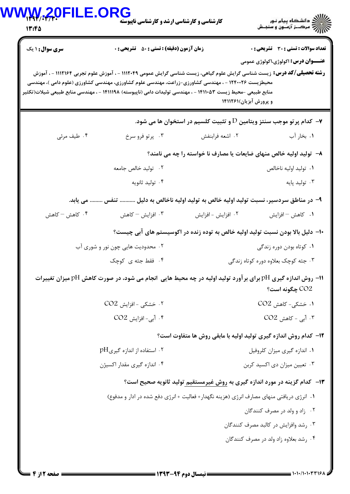## $\textbf{WW}\textbf{W}, \textbf{W}, \textbf{Q}$ ارشناسی و کارشناسی ارشد و کارشناسی ناپیوستا

13:40

| <b>سری سوال : ۱ یک</b>                                                                                       | <b>زمان آزمون (دقیقه) : تستی : 50 ٪ تشریحی : 0</b>                                        |                    | <b>تعداد سوالات : تستی : 30 ٪ تشریحی : 0</b>                                                                                      |  |
|--------------------------------------------------------------------------------------------------------------|-------------------------------------------------------------------------------------------|--------------------|-----------------------------------------------------------------------------------------------------------------------------------|--|
|                                                                                                              |                                                                                           |                    | <b>عنـــوان درس:</b> اکولوژی،اکولوژی عمومی                                                                                        |  |
| محیطزیست ۱۲۴۰۰۲۶ - ، مهندسی کشاورزی-زراعت، مهندسی علوم کشاورزی، مهندسی کشاورزی (علوم دامی )، مهندسی          |                                                                                           |                    | <b>رشته تحصیلی/کد درس:</b> زیست شناسی گرایش علوم گیاهی، زیست شناسی گرایش عمومی ۱۱۱۲۰۴۹ - ، آموزش علوم تجربی ۱۱۱۲۱۶۴ - ، آموزش     |  |
| منابع طبیعی -محیط زیست ۱۴۱۱۰۵۳ - ، مهندسی تولیدات دامی (ناپیوسته) ۱۴۱۱۱۹۸ - ، مهندسی منابع طبیعی شیلات(تکثیر |                                                                                           |                    | و پرورش آبزیان)۱۴۱۱۲۶۱                                                                                                            |  |
|                                                                                                              |                                                                                           |                    |                                                                                                                                   |  |
|                                                                                                              |                                                                                           |                    | — کدام پر تو موجب سنتز ویتامین ${\rm D}$ و تثبیت کلسیم در استخوان ها می شود.                                                      |  |
| ۰۴ طيف مرئي                                                                                                  | ۰۳ پرتو فرو سرخ                                                                           | ۲. اشعه فرابنفش    | ۰۱. بخار آب                                                                                                                       |  |
| ۸– تولید اولیه خالص منهای ضایعات یا مصارف نا خواسته را چه می نامند؟                                          |                                                                                           |                    |                                                                                                                                   |  |
|                                                                                                              | ۰۲ تولید خالص جامعه                                                                       |                    | ٠١. توليد اوليه ناخالص                                                                                                            |  |
|                                                                                                              | ۰۴ تولید ثانویه                                                                           |                    | ۰۳ تولید پایه                                                                                                                     |  |
| ۹– در مناطق سردسیر، نسبت تولید اولیه خالص به تولید اولیه ناخالص به دلیل  تنفس  می یابد.                      |                                                                                           |                    |                                                                                                                                   |  |
| ۰۴ کاهش – کاهش                                                                                               | ۰۳ افزایش – کاهش                                                                          | ۰۲ افزایش - افزایش | ۰۱ كاهش – افزايش                                                                                                                  |  |
|                                                                                                              |                                                                                           |                    | ∙۱- دلیل بالا بودن نسبت تولید اولیه خالص به توده زنده در اکوسیستم های آبی چیست؟                                                   |  |
|                                                                                                              | ۰۲ محدودیت هایی چون نور و شوری آب                                                         |                    | ۰۱ کوتاه بودن دوره زندگی                                                                                                          |  |
|                                                                                                              | ۰۴ فقط جثه ی کوچک                                                                         |                    | ۰۳ جثه کوچک بعلاوه دوره کوتاه زندگی                                                                                               |  |
|                                                                                                              |                                                                                           |                    | ا – روش اندازه گیری pH برای برآورد تولید اولیه در چه محیط هایی انجام می شود، در صورت کاهش pH میزان تغییرات $\,$<br>CO2 چگونه است؟ |  |
|                                                                                                              | ۰۲ خشکی - افزایش CO2                                                                      |                    | ۰۱ خشکی- کاهش CO2                                                                                                                 |  |
|                                                                                                              | ۰۴ آبی- افزایش CO2                                                                        |                    | $CO2$ - آبی - کاهش $\cdot$                                                                                                        |  |
|                                                                                                              |                                                                                           |                    | ۱۲- کدام روش اندازه گیری تولید اولیه با مابقی روش ها متفاوت است؟                                                                  |  |
|                                                                                                              | ۰۲ استفاده از اندازه گیری $\mathrm{H}$                                                    |                    | ۰۱ اندازه گیری میزان کلروفیل                                                                                                      |  |
|                                                                                                              | ۰۴ اندازه گیری مقدار اکسیژن                                                               |                    | ۰۳ تعیین میزان دی اکسید کربن                                                                                                      |  |
|                                                                                                              |                                                                                           |                    | ۱۳- کدام گزینه در مورد اندازه گیری به روش غیرمستقیم تولید ثانویه صحیح است؟                                                        |  |
|                                                                                                              | ۰۱ انرژی دریافتی منهای مصارف انرژی (هزینه نگهدار+ فعالیت + انرژی دفع شده در ادار و مدفوع) |                    |                                                                                                                                   |  |
|                                                                                                              |                                                                                           |                    | ۰۲ زاد و ولد در مصرف کنندگان                                                                                                      |  |
|                                                                                                              |                                                                                           |                    | ۰۳ رشد وافزایش در کالبد مصرف کنندگان                                                                                              |  |
|                                                                                                              |                                                                                           |                    | ۰۴ رشد بعلاوه زاد ولد در مصرف کنندگان                                                                                             |  |
|                                                                                                              |                                                                                           |                    |                                                                                                                                   |  |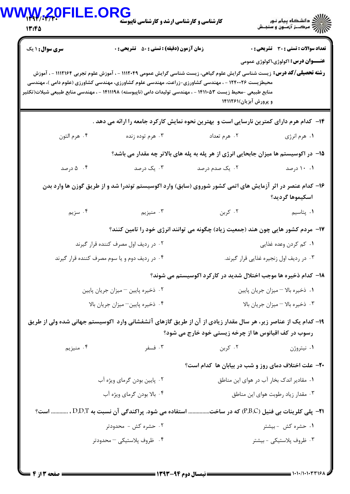| 13:45                  | <b>کارشناسی و کارشناسی ارشد و کارشناسی ناپیوسته</b>                                                                                                                                                                                                                                                                                                  |                                                                                      | ///کے دانشڪاه پيام نور<br>////// مرڪــز آزمــون و سنجــش |  |
|------------------------|------------------------------------------------------------------------------------------------------------------------------------------------------------------------------------------------------------------------------------------------------------------------------------------------------------------------------------------------------|--------------------------------------------------------------------------------------|----------------------------------------------------------|--|
| <b>سری سوال :</b> ۱ یک | <b>زمان آزمون (دقیقه) : تستی : 50 ٪ تشریحی : 0</b>                                                                                                                                                                                                                                                                                                   |                                                                                      | تعداد سوالات : تستى : 30 ٪ تشريحي : 0                    |  |
|                        | <b>رشته تحصیلی/کد درس:</b> زیست شناسی گرایش علوم گیاهی، زیست شناسی گرایش عمومی ۱۱۱۲۰۴۹ - ، آموزش علوم تجربی ۱۱۱۲۱۶۴ - ، آموزش<br>محیطزیست ۱۲۴۰۰۲۶ - ، مهندسی کشاورزی-زراعت، مهندسی علوم کشاورزی، مهندسی کشاورزی (علوم دامی )، مهندسی<br>منابع طبیعی -محیط زیست ۱۴۱۱۰۵۳ - ، مهندسی تولیدات دامی (ناپیوسته) ۱۴۱۱۱۹۸ - ، مهندسی منابع طبیعی شیلات(تکثیر | و پرورش آبزیان)۱۴۱۱۲۶۱                                                               | <b>عنـــوان درس:</b> اکولوژي،اکولوژي عمومي               |  |
|                        | ۱۴– کدام هرم دارای کمترین نارسایی است و بهترین نحوه نمایش کارکرد جامعه را ارائه می دهد .                                                                                                                                                                                                                                                             |                                                                                      |                                                          |  |
| ۰۴ هرم التون           | ۰۳ هرم توده زنده                                                                                                                                                                                                                                                                                                                                     | ۰۲ هرم تعداد                                                                         | ۰۱ هرم انرژي                                             |  |
|                        |                                                                                                                                                                                                                                                                                                                                                      | ۱۵– در اکوسیستم ها میزان جابحایی انرژی از هر پله به پله های بالاتر چه مقدار می باشد؟ |                                                          |  |
| ۰۴ تارصد               | ۰۳ یک درصد                                                                                                                                                                                                                                                                                                                                           | ۰۲ یک صدم درصد                                                                       | ۰۱ ۱۰ درصد                                               |  |
|                        | ۱۶– کدام عنصر در اثر آزمایش های اتمی کشور شوروی (سابق) وارد اکوسیستم توندرا شد و از طریق گوزن ها وارد بدن                                                                                                                                                                                                                                            |                                                                                      | اسكيموها گرديد؟                                          |  |
| ۰۴ سزیم                | ۰۳ منيزيم                                                                                                                                                                                                                                                                                                                                            | ۰۲ کربن                                                                              | ۰۱ پتاسیم                                                |  |
|                        |                                                                                                                                                                                                                                                                                                                                                      | ۱۷– مردم کشور هایی چون هند (جمعیت زیاد) چگونه می توانند انرژی خود را تامین کنند؟     |                                                          |  |
|                        | ۰۲ در ردیف اول مصرف کننده قرار گیرند                                                                                                                                                                                                                                                                                                                 |                                                                                      | ۰۱ کم کردن وعده غذایی                                    |  |
|                        | ۰۴ در ردیف دوم و یا سوم مصرف کننده قرار گیرند                                                                                                                                                                                                                                                                                                        |                                                                                      | ۰۳ در ردیف اول زنجیره غذایی قرار گیرند.                  |  |
|                        |                                                                                                                                                                                                                                                                                                                                                      | ۱۸– کدام ذخیره ها موجب اختلال شدید در کارکرد اکوسیستم می شوند؟                       |                                                          |  |
|                        | ٠٢ ذخيره پايين - ميزان جريان پايين                                                                                                                                                                                                                                                                                                                   | ۰۱ ذخیره بالا – میزان جریان پایین                                                    |                                                          |  |
|                        | ۰۴ ذخيره پايين-ميزان جريان بالا                                                                                                                                                                                                                                                                                                                      | ٠٣ ذخيره بالا - ميزان جريان بالا                                                     |                                                          |  |
|                        | ۱۹– کدام یک از عناصر زیر، هر سال مقدار زیادی از آن از طریق گازهای آتشفشانی وارد اکوسیستم جهانی شده ولی از طریق                                                                                                                                                                                                                                       | رسوب در کف اقیانوس ها از چرخه زیستی خود خارج می شود؟                                 |                                                          |  |
| ۰۴ منيزيم              | ۰۳ فسفر                                                                                                                                                                                                                                                                                                                                              | ۰۲ کربن                                                                              | ۰۱ نیتروژن                                               |  |
|                        |                                                                                                                                                                                                                                                                                                                                                      | <b>۲۰</b> - علت اختلاف دمای روز و شب در بیابان ها کدام است؟                          |                                                          |  |
|                        | ۰۲ پایین بودن گرمای ویژه آب                                                                                                                                                                                                                                                                                                                          |                                                                                      | ٠١ مقادير اندک بخار آب در هواي اين مناطق                 |  |
|                        | ۰۴ بالا بودن گرمای ویژه آب                                                                                                                                                                                                                                                                                                                           |                                                                                      | ۰۳ مقدار زياد رطوبت هواي اين مناطق                       |  |
|                        | 21− پلی کلرینات بی فنیل (P.B.C) که در ساخت استفاده می شود. پراکندگی آن نسبت به D.D.T ،  است؟                                                                                                                                                                                                                                                         |                                                                                      |                                                          |  |
|                        | ۰۲ حشره کش - محدودتر                                                                                                                                                                                                                                                                                                                                 |                                                                                      | ۰۱ حشره کش -بیشتر                                        |  |
|                        |                                                                                                                                                                                                                                                                                                                                                      |                                                                                      |                                                          |  |